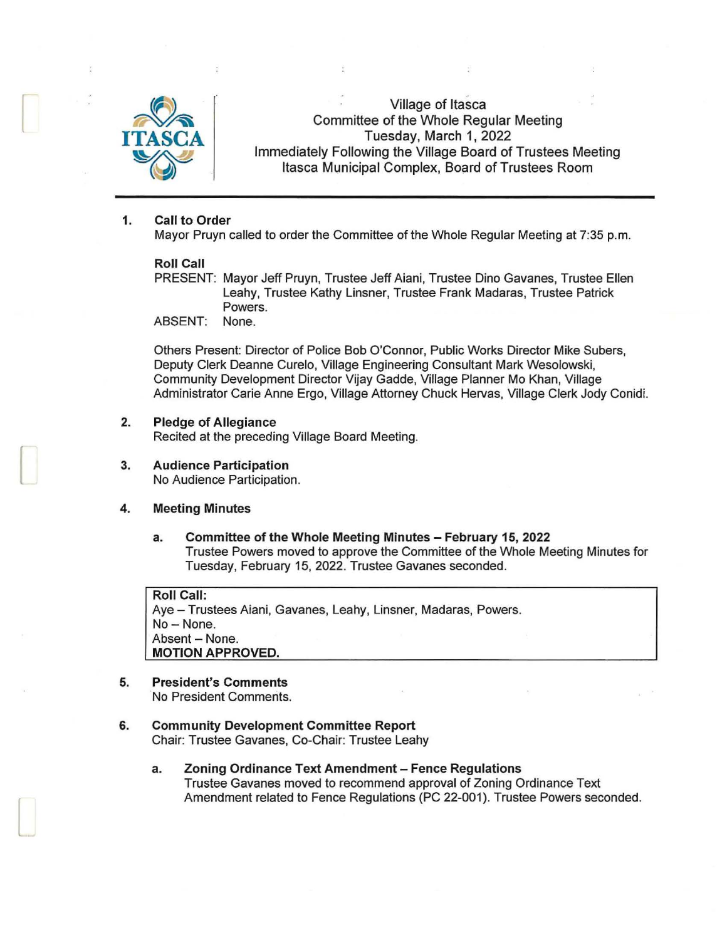

 $\Box$ 

[

l

Village of Itasca Committee of the Whole Regular Meeting Tuesday, March 1, 2022 Immediately Following the Village Board of Trustees Meeting Itasca Municipal Complex, Board of Trustees Room

# 1. Call to Order

Mayor Pruyn called to order the Committee of the Whole Regular Meeting at 7:35 p.m.

# Roll Call

PRESENT: Mayor Jeff Pruyn, Trustee Jeff Aiani, Trustee Dino Gavanes, Trustee Ellen Leahy, Trustee Kathy Linsner, Trustee Frank Madaras, Trustee Patrick Powers.

ABSENT: None.

Others Present: Director of Police Bob O'Connor, Public Works Director Mike Subers, Deputy Clerk Deanne Curelo, Village Engineering Consultant Mark Wesolowski, Community Development Director Vijay Gadde, Village Planner Mo Khan, Village Administrator Carie Anne Ergo, Village Attorney Chuck Hervas, Village Clerk Jody Conidi.

# 2. Pledge of Allegiance

Recited at the preceding Village Board Meeting.

3. Audience Participation No Audience Participation.

# 4. Meeting Minutes

a. Committee of the Whole Meeting Minutes - February 15, 2022 Trustee Powers moved to approve the Committee of the Whole Meeting Minutes for Tuesday, February 15, 2022. Trustee Gavanes seconded.

Roll Call: Aye - Trustees Aiani, Gavanes, Leahy, Linsner, Madaras, Powers. No - None. Absent - None. MOTION APPROVED.

# 5. President's Comments

No President Comments.

# 6. Community Development Committee Report

Chair: Trustee Gavanes, Co-Chair: Trustee Leahy

a. Zoning Ordinance Text Amendment - Fence Regulations Trustee Gavanes moved to recommend approval of Zoning Ordinance Text Amendment related to Fence Regulations (PC 22-001). Trustee Powers seconded.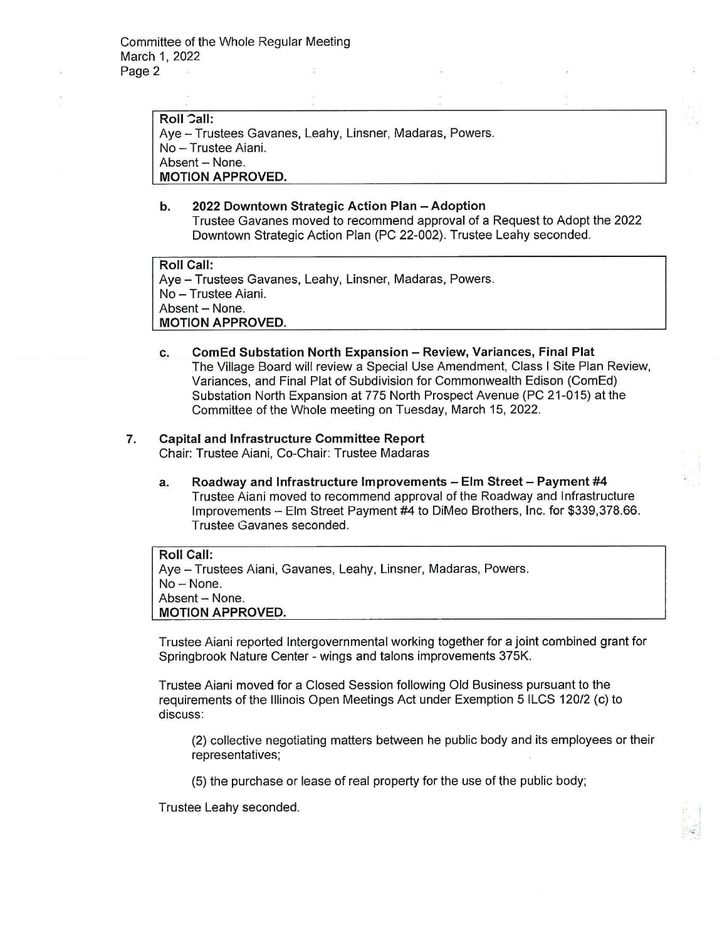**Roll Call:** Aye - Trustees Gavanes, Leahy, Linsner, Madaras, Powers. No - Trustee Aiani. Absent - None. **MOTION APPROVED.** 

# **b. 2022 Downtown Strategic Action Plan - Adoption**

Trustee Gavanes moved to recommend approval of a Request to Adopt the 2022 Downtown Strategic Action Plan (PC 22-002). Trustee Leahy seconded.

**Roll Call:**  Aye - Trustees Gavanes, Leahy, Linsner, Madaras, Powers. No - Trustee Aiani. Absent - None. **MOTION APPROVED.** 

# **c. ComEd Substation North Expansion - Review, Variances, Final Plat**  The Village Board will review a Special Use Amendment, Class I Site Plan Review, Variances, and Final Plat of Subdivision for Commonwealth Edison (ComEd) Substation North Expansion at 775 North Prospect Avenue (PC 21-015) at the Committee of the Whole meeting on Tuesday, March 15, 2022.

# **7. Capital and Infrastructure Committee Report**

Chair: Trustee Aiani, Co-Chair: Trustee Madaras

**a. Roadway and Infrastructure Improvements - Elm Street- Payment #4**  Trustee Aiani moved to recommend approval of the Roadway and Infrastructure Improvements - Elm Street Payment #4 to DiMeo Brothers, Inc. for \$339,378.66. Trustee Gavanes seconded.

**Roll Call:**  Aye - Trustees Aiani, Gavanes, Leahy, Linsner, Madaras, Powers. No-None. Absent - None. **MOTION APPROVED.** 

Trustee Aiani reported Intergovernmental working together for a joint combined grant for Springbrook Nature Center - wings and talons improvements 375K.

Trustee Aiani moved for a Closed Session following Old Business pursuant to the requirements of the Illinois Open Meetings Act under Exemption 5 ILCS 120/2 (c) to discuss:

(2) collective negotiating matters between he public body and its employees or their representatives;

(5) the purchase or lease of real property for the use of the public body;

Trustee Leahy seconded.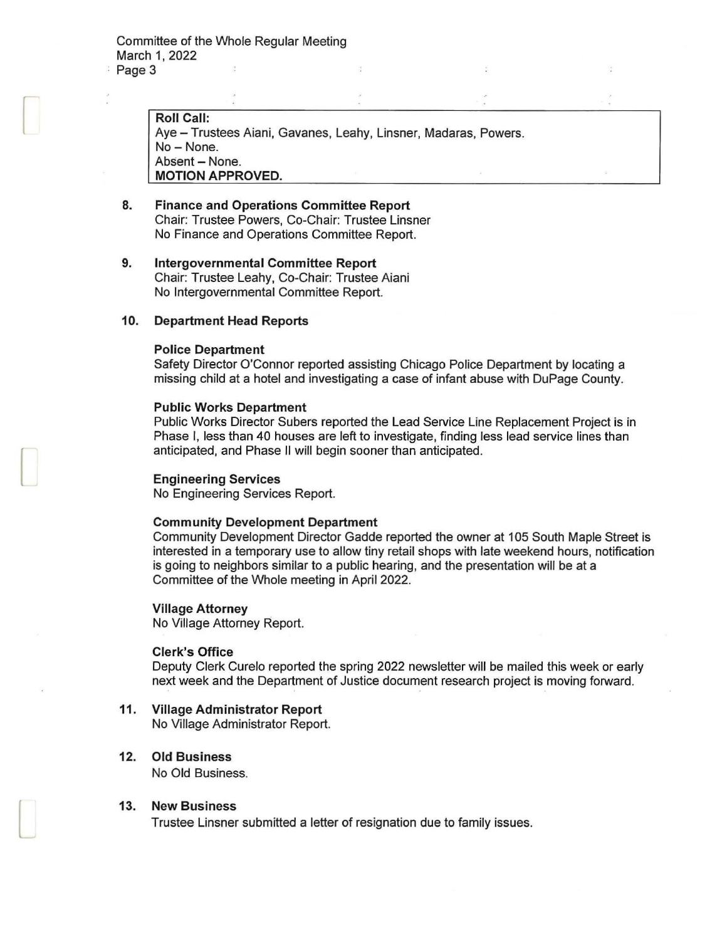$\Box$ 

[

 $\Box$ 

Roll Call: Aye - Trustees Aiani, Gavanes, Leahy, Linsner, Madaras, Powers. No-None. Absent - None. MOTION APPROVED.

- 8. Finance and Operations Committee Report Chair: Trustee Powers, Co-Chair: Trustee Linsner No Finance and Operations Committee Report.
- 9. Intergovernmental Committee Report Chair: Trustee Leahy, Co-Chair: Trustee Aiani No Intergovernmental Committee Report.

#### 10. Department Head Reports

#### Police Department

Safety Director O'Connor reported assisting Chicago Police Department by locating a missing child at a hotel and investigating a case of infant abuse with DuPage County.

#### Public Works Department

Public Works Director Subers reported the Lead Service Line Replacement Project is in Phase I, less than 40 houses are left to investigate, finding less lead service lines than anticipated, and Phase II will begin sooner than anticipated.

#### Engineering Services

No Engineering Services Report.

#### Community Development Department

Community Development Director Gadde reported the owner at 105 South Maple Street is interested in a temporary use to allow tiny retail shops with late weekend hours, notification is going to neighbors similar to a public hearing, and the presentation will be at a Committee of the Whole meeting in April 2022.

#### Village Attorney

No Village Attorney Report.

#### Clerk's Office

Deputy Clerk Curelo reported the spring 2022 newsletter will be mailed this week or early next week and the Department of Justice document research project is moving forward.

11. Village Administrator Report

No Village Administrator Report.

# 12. Old Business

No Old Business.

#### 13. New Business

Trustee Linsner submitted a letter of resignation due to family issues.